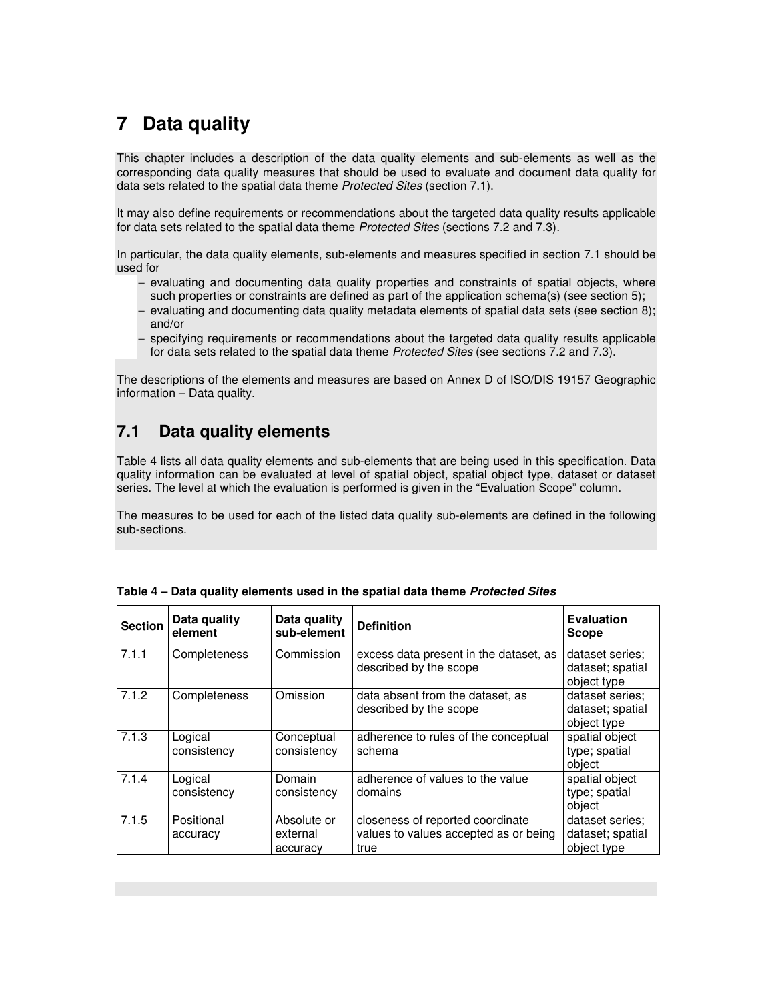# **7 Data quality**

This chapter includes a description of the data quality elements and sub-elements as well as the corresponding data quality measures that should be used to evaluate and document data quality for data sets related to the spatial data theme Protected Sites (section 7.1).

It may also define requirements or recommendations about the targeted data quality results applicable for data sets related to the spatial data theme Protected Sites (sections 7.2 and 7.3).

In particular, the data quality elements, sub-elements and measures specified in section 7.1 should be used for

- − evaluating and documenting data quality properties and constraints of spatial objects, where such properties or constraints are defined as part of the application schema(s) (see section 5);
- evaluating and documenting data quality metadata elements of spatial data sets (see section 8); and/or
- − specifying requirements or recommendations about the targeted data quality results applicable for data sets related to the spatial data theme Protected Sites (see sections 7.2 and 7.3).

The descriptions of the elements and measures are based on Annex D of ISO/DIS 19157 Geographic information – Data quality.

### **7.1 Data quality elements**

Table 4 lists all data quality elements and sub-elements that are being used in this specification. Data quality information can be evaluated at level of spatial object, spatial object type, dataset or dataset series. The level at which the evaluation is performed is given in the "Evaluation Scope" column.

The measures to be used for each of the listed data quality sub-elements are defined in the following sub-sections.

| <b>Section</b> | Data quality<br>element | Data quality<br>sub-element         | <b>Definition</b>                                                                 | <b>Evaluation</b><br><b>Scope</b>                  |
|----------------|-------------------------|-------------------------------------|-----------------------------------------------------------------------------------|----------------------------------------------------|
| 7.1.1          | Completeness            | Commission                          | excess data present in the dataset, as<br>described by the scope                  | dataset series:<br>dataset; spatial<br>object type |
| 7.1.2          | Completeness            | Omission                            | data absent from the dataset, as<br>described by the scope                        | dataset series:<br>dataset; spatial<br>object type |
| 7.1.3          | Logical<br>consistency  | Conceptual<br>consistency           | adherence to rules of the conceptual<br>schema                                    | spatial object<br>type; spatial<br>object          |
| 7.1.4          | Logical<br>consistency  | Domain<br>consistency               | adherence of values to the value<br>domains                                       | spatial object<br>type; spatial<br>object          |
| 7.1.5          | Positional<br>accuracy  | Absolute or<br>external<br>accuracy | closeness of reported coordinate<br>values to values accepted as or being<br>true | dataset series;<br>dataset; spatial<br>object type |

|  | Table 4 – Data quality elements used in the spatial data theme Protected Sites |  |
|--|--------------------------------------------------------------------------------|--|
|  |                                                                                |  |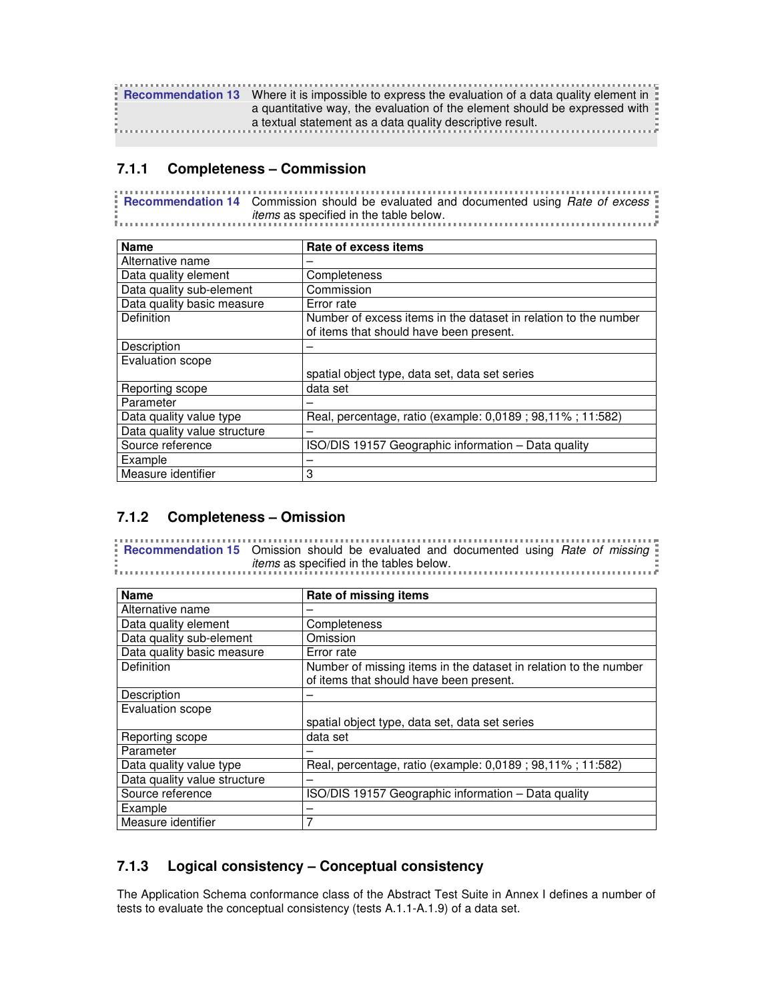| <b>Recommendation 13</b> Where it is impossible to express the evaluation of a data quality element in |
|--------------------------------------------------------------------------------------------------------|
| a quantitative way, the evaluation of the element should be expressed with $\frac{1}{2}$               |
| $\ddot{\phantom{a}}$ a textual statement as a data quality descriptive result.                         |
|                                                                                                        |

#### **7.1.1 Completeness – Commission**

**Recommendation 14** Commission should be evaluated and documented using *Rate of excess* items as specified in the table below. 

| <b>Name</b>                  | Rate of excess items                                                                                       |
|------------------------------|------------------------------------------------------------------------------------------------------------|
| Alternative name             |                                                                                                            |
| Data quality element         | Completeness                                                                                               |
| Data quality sub-element     | Commission                                                                                                 |
| Data quality basic measure   | Error rate                                                                                                 |
| Definition                   | Number of excess items in the dataset in relation to the number<br>of items that should have been present. |
| Description                  |                                                                                                            |
| Evaluation scope             |                                                                                                            |
|                              | spatial object type, data set, data set series                                                             |
| Reporting scope              | data set                                                                                                   |
| Parameter                    |                                                                                                            |
| Data quality value type      | Real, percentage, ratio (example: 0,0189; 98,11%; 11:582)                                                  |
| Data quality value structure |                                                                                                            |
| Source reference             | ISO/DIS 19157 Geographic information - Data quality                                                        |
| Example                      |                                                                                                            |
| Measure identifier           | 3                                                                                                          |

#### **7.1.2 Completeness – Omission**

**Recommendation 15** Omission should be evaluated and documented using *Rate of missing* items as specified in the tables below. 

| <b>Name</b>                  | Rate of missing items                                                                                       |
|------------------------------|-------------------------------------------------------------------------------------------------------------|
| Alternative name             |                                                                                                             |
| Data quality element         | Completeness                                                                                                |
| Data quality sub-element     | Omission                                                                                                    |
| Data quality basic measure   | Error rate                                                                                                  |
| <b>Definition</b>            | Number of missing items in the dataset in relation to the number<br>of items that should have been present. |
| Description                  |                                                                                                             |
| Evaluation scope             |                                                                                                             |
|                              | spatial object type, data set, data set series                                                              |
| Reporting scope              | data set                                                                                                    |
| Parameter                    |                                                                                                             |
| Data quality value type      | Real, percentage, ratio (example: 0,0189 ; 98,11% ; 11:582)                                                 |
| Data quality value structure |                                                                                                             |
| Source reference             | ISO/DIS 19157 Geographic information - Data quality                                                         |
| Example                      |                                                                                                             |
| Measure identifier           | 7                                                                                                           |

#### **7.1.3 Logical consistency – Conceptual consistency**

The Application Schema conformance class of the Abstract Test Suite in Annex I defines a number of tests to evaluate the conceptual consistency (tests A.1.1-A.1.9) of a data set.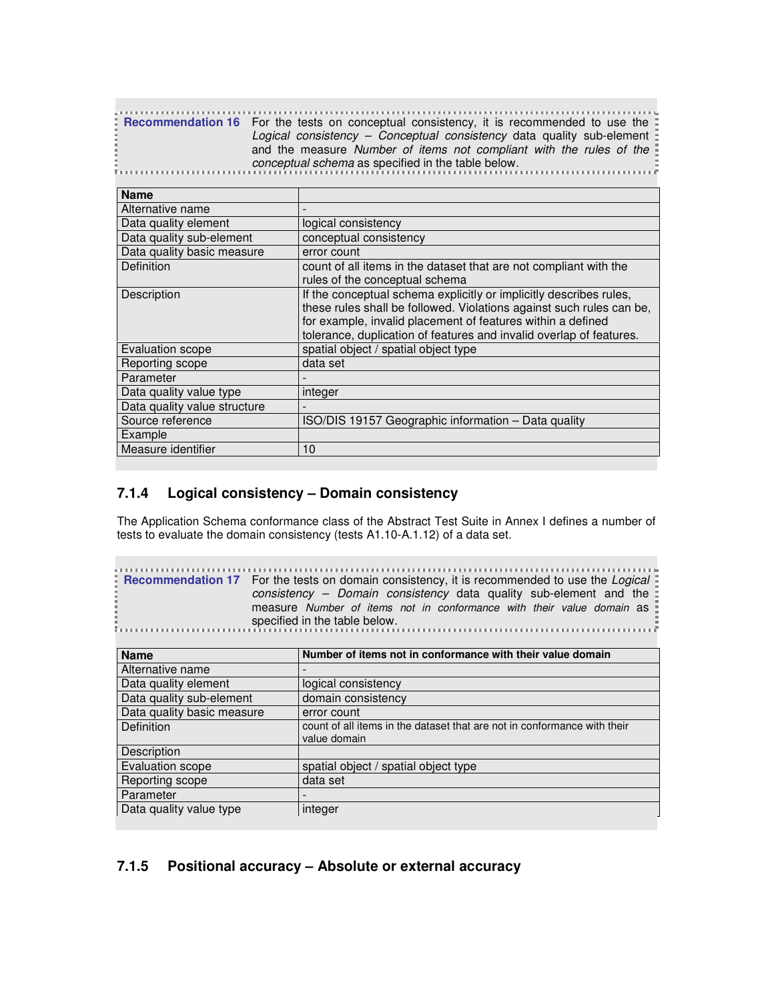| <b>Example 16 France 3</b> For the tests on conceptual consistency, it is recommended to use the |
|--------------------------------------------------------------------------------------------------|
| Logical consistency – Conceptual consistency data quality sub-element                            |
| and the measure Number of items not compliant with the rules of the                              |
| conceptual schema as specified in the table below.                                               |
|                                                                                                  |

| <b>Name</b>                  |                                                                                                                                                                                                                                                                                  |
|------------------------------|----------------------------------------------------------------------------------------------------------------------------------------------------------------------------------------------------------------------------------------------------------------------------------|
| Alternative name             |                                                                                                                                                                                                                                                                                  |
| Data quality element         | logical consistency                                                                                                                                                                                                                                                              |
| Data quality sub-element     | conceptual consistency                                                                                                                                                                                                                                                           |
| Data quality basic measure   | error count                                                                                                                                                                                                                                                                      |
| Definition                   | count of all items in the dataset that are not compliant with the<br>rules of the conceptual schema                                                                                                                                                                              |
| Description                  | If the conceptual schema explicitly or implicitly describes rules,<br>these rules shall be followed. Violations against such rules can be,<br>for example, invalid placement of features within a defined<br>tolerance, duplication of features and invalid overlap of features. |
| <b>Evaluation scope</b>      | spatial object / spatial object type                                                                                                                                                                                                                                             |
| Reporting scope              | data set                                                                                                                                                                                                                                                                         |
| Parameter                    |                                                                                                                                                                                                                                                                                  |
| Data quality value type      | integer                                                                                                                                                                                                                                                                          |
| Data quality value structure |                                                                                                                                                                                                                                                                                  |
| Source reference             | ISO/DIS 19157 Geographic information - Data quality                                                                                                                                                                                                                              |
| Example                      |                                                                                                                                                                                                                                                                                  |
| Measure identifier           | 10                                                                                                                                                                                                                                                                               |

#### **7.1.4 Logical consistency – Domain consistency**

**College** 

The Application Schema conformance class of the Abstract Test Suite in Annex I defines a number of tests to evaluate the domain consistency (tests A1.10-A.1.12) of a data set.

| <b>Example 1 Figure 12 Form and Setup</b> 1 is recommended to use the <i>Logical</i> Figure 1 and the <i>Logical</i> Figure 1 is recommended to use the <i>Logical</i> Figure 1 |
|---------------------------------------------------------------------------------------------------------------------------------------------------------------------------------|
| consistency - Domain consistency data quality sub-element and the $\pm$                                                                                                         |
| measure Number of items not in conformance with their value domain as                                                                                                           |
| specified in the table below.                                                                                                                                                   |
|                                                                                                                                                                                 |

| <b>Name</b>                | Number of items not in conformance with their value domain               |
|----------------------------|--------------------------------------------------------------------------|
| Alternative name           |                                                                          |
| Data quality element       | logical consistency                                                      |
| Data quality sub-element   | domain consistency                                                       |
| Data quality basic measure | error count                                                              |
| <b>Definition</b>          | count of all items in the dataset that are not in conformance with their |
|                            | value domain                                                             |
| Description                |                                                                          |
| Evaluation scope           | spatial object / spatial object type                                     |
| Reporting scope            | data set                                                                 |
| Parameter                  |                                                                          |
| Data quality value type    | integer                                                                  |

### **7.1.5 Positional accuracy – Absolute or external accuracy**